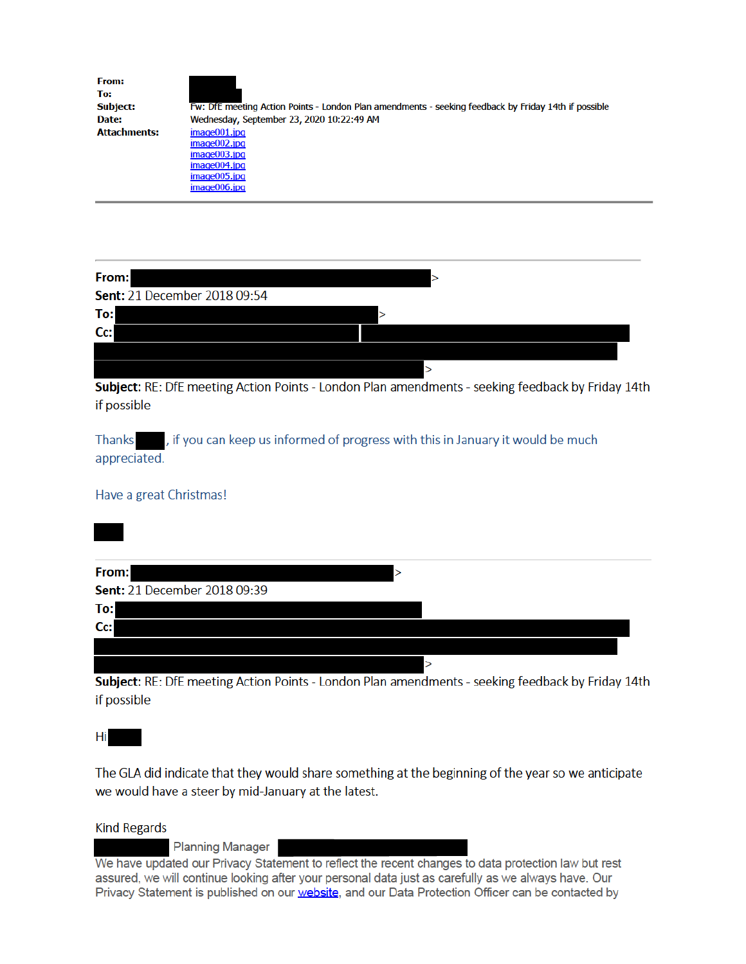| From:               |                                                                                                      |
|---------------------|------------------------------------------------------------------------------------------------------|
| To:                 |                                                                                                      |
| <b>Subject:</b>     | Fw: DfE meeting Action Points - London Plan amendments - seeking feedback by Friday 14th if possible |
| Date:               | Wednesday, September 23, 2020 10:22:49 AM                                                            |
| <b>Attachments:</b> | image001.jpg                                                                                         |
|                     | image002.jpg                                                                                         |
|                     | image003.jpg                                                                                         |
|                     | image004.jpg                                                                                         |
|                     | image005.jpg                                                                                         |
|                     | image006.jpg                                                                                         |

| From:                        |  |
|------------------------------|--|
| Sent: 21 December 2018 09:54 |  |
| To:                          |  |
| Cc:                          |  |
|                              |  |
|                              |  |

Subject: RE: DfE meeting Action Points - London Plan amendments - seeking feedback by Friday 14th if possible

, if you can keep us informed of progress with this in January it would be much **Thanks** appreciated.

Have a great Christmas!

| From:                        | $\geq$ |  |
|------------------------------|--------|--|
| Sent: 21 December 2018 09:39 |        |  |
| To:                          |        |  |
| Cc:                          |        |  |
|                              |        |  |
|                              |        |  |

Subject: RE: DfE meeting Action Points - London Plan amendments - seeking feedback by Friday 14th if possible

Hi

The GLA did indicate that they would share something at the beginning of the year so we anticipate we would have a steer by mid-January at the latest.

**Kind Regards** 

**Planning Manager** 

We have updated our Privacy Statement to reflect the recent changes to data protection law but rest assured, we will continue looking after your personal data just as carefully as we always have. Our Privacy Statement is published on our website, and our Data Protection Officer can be contacted by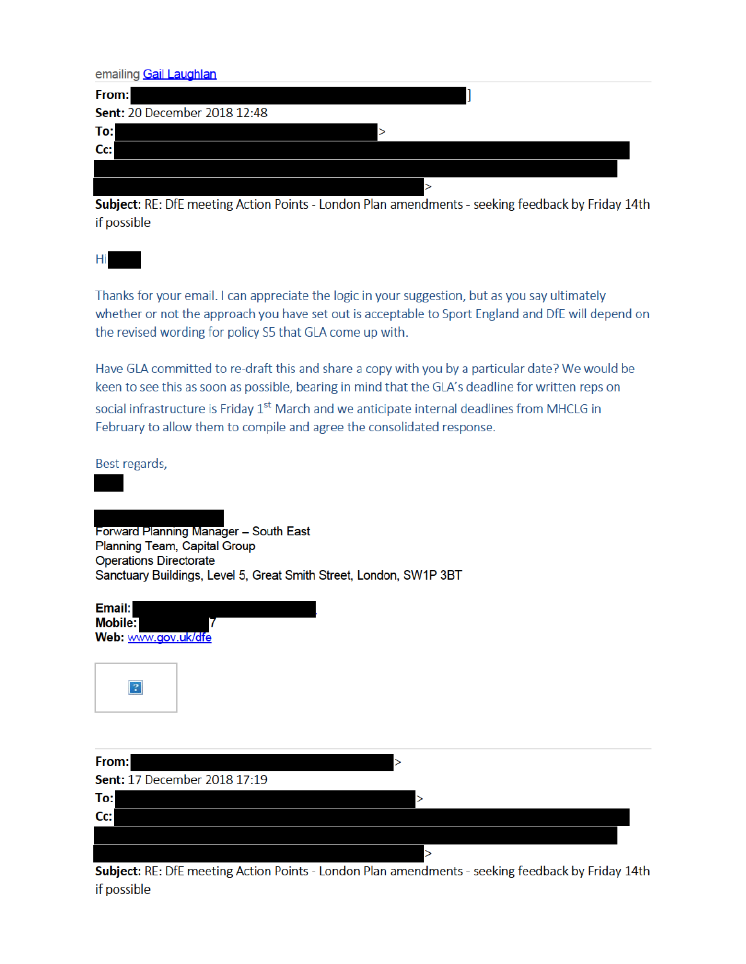emailing Gail Laughlan

| From:                        |  |
|------------------------------|--|
| Sent: 20 December 2018 12:48 |  |
| To:                          |  |
| $Cc$ :                       |  |
|                              |  |
|                              |  |

Subject: RE: DfE meeting Action Points - London Plan amendments - seeking feedback by Friday 14th if possible

Hi

Thanks for your email. I can appreciate the logic in your suggestion, but as you say ultimately whether or not the approach you have set out is acceptable to Sport England and DfE will depend on the revised wording for policy S5 that GLA come up with.

Have GLA committed to re-draft this and share a copy with you by a particular date? We would be keen to see this as soon as possible, bearing in mind that the GLA's deadline for written reps on social infrastructure is Friday 1<sup>st</sup> March and we anticipate internal deadlines from MHCLG in February to allow them to compile and agree the consolidated response.

Best regards,

Forward Planning Manager - South East Planning Team, Capital Group **Operations Directorate** Sanctuary Buildings, Level 5, Great Smith Street, London, SW1P 3BT

Email: Mobile: Web: www.gov.uk/dfe



| From:                        |  |
|------------------------------|--|
| Sent: 17 December 2018 17:19 |  |
| To:                          |  |
| Cc:                          |  |
|                              |  |
|                              |  |

Subject: RE: DfE meeting Action Points - London Plan amendments - seeking feedback by Friday 14th if possible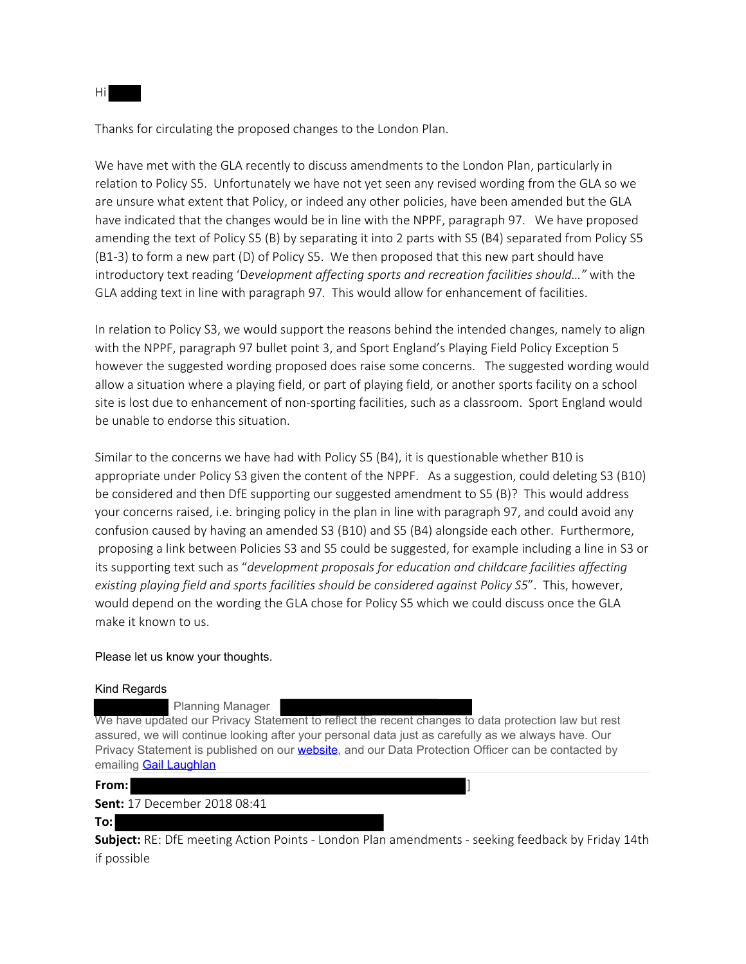Thanks for circulating the proposed changes to the London Plan.

We have met with the GLA recently to discuss amendments to the London Plan, particularly in relation to Policy S5. Unfortunately we have not yet seen any revised wording from the GLA so we are unsure what extent that Policy, or indeed any other policies, have been amended but the GLA have indicated that the changes would be in line with the NPPF, paragraph 97. We have proposed amending the text of Policy S5 (B) by separating it into 2 parts with S5 (B4) separated from Policy S5 (B1-3) to form a new part (D) of Policy S5. We then proposed that this new part should have introductory text reading 'D*evelopment affecting sports and recreation facilities should…"* with the GLA adding text in line with paragraph 97*.* This would allow for enhancement of facilities.

In relation to Policy S3, we would support the reasons behind the intended changes, namely to align with the NPPF, paragraph 97 bullet point 3, and Sport England's Playing Field Policy Exception 5 however the suggested wording proposed does raise some concerns. The suggested wording would allow a situation where a playing field, or part of playing field, or another sports facility on a school site is lost due to enhancement of non-sporting facilities, such as a classroom. Sport England would be unable to endorse this situation.

Similar to the concerns we have had with Policy S5 (B4), it is questionable whether B10 is appropriate under Policy S3 given the content of the NPPF. As a suggestion, could deleting S3 (B10) be considered and then DfE supporting our suggested amendment to S5 (B)? This would address your concerns raised, i.e. bringing policy in the plan in line with paragraph 97, and could avoid any confusion caused by having an amended S3 (B10) and S5 (B4) alongside each other. Furthermore, proposing a link between Policies S3 and S5 could be suggested, for example including a line in S3 or its supporting text such as "*development proposals for education and childcare facilities affecting existing playing field and sports facilities should be considered against Policy S5*". This, however, would depend on the wording the GLA chose for Policy S5 which we could discuss once the GLA make it known to us.

## Please let us know your thoughts.

#### Kind Regards

Planning Manager

We have updated our Privacy Statement to reflect the recent changes to data protection law but rest assured, we will continue looking after your personal data just as carefully as we always have. Our Privacy Statement is published on our **website**, and our Data Protection Officer can be contacted by emailing **Gail Laughlan** 

**From:** ]

**Sent:** 17 December 2018 08:41

#### **To:**

**Subject:** RE: DfE meeting Action Points - London Plan amendments - seeking feedback by Friday 14th if possible

Hi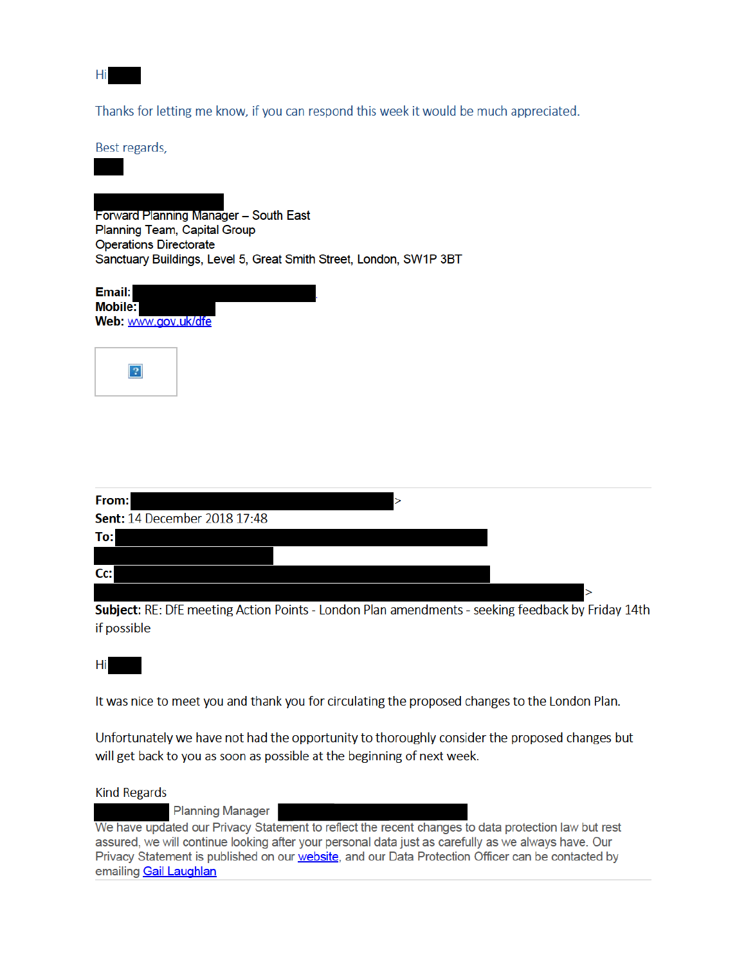Hi

Thanks for letting me know, if you can respond this week it would be much appreciated.

Best regards,

Forward Planning Manager - South East Planning Team, Capital Group **Operations Directorate** Sanctuary Buildings, Level 5, Great Smith Street, London, SW1P 3BT

| Email:              |  |
|---------------------|--|
| <b>Mobile:</b>      |  |
| Web: www.gov.uk/dfe |  |
|                     |  |



| From:<br>⋗                          |  |
|-------------------------------------|--|
| <b>Sent: 14 December 2018 17:48</b> |  |
| To:                                 |  |
|                                     |  |
| $Cc$ :                              |  |
|                                     |  |

Subject: RE: DfE meeting Action Points - London Plan amendments - seeking feedback by Friday 14th if possible

Hi

It was nice to meet you and thank you for circulating the proposed changes to the London Plan.

Unfortunately we have not had the opportunity to thoroughly consider the proposed changes but will get back to you as soon as possible at the beginning of next week.

**Kind Regards** 

**Planning Manager** 

We have updated our Privacy Statement to reflect the recent changes to data protection law but rest assured, we will continue looking after your personal data just as carefully as we always have. Our Privacy Statement is published on our website, and our Data Protection Officer can be contacted by emailing **Gail Laughlan**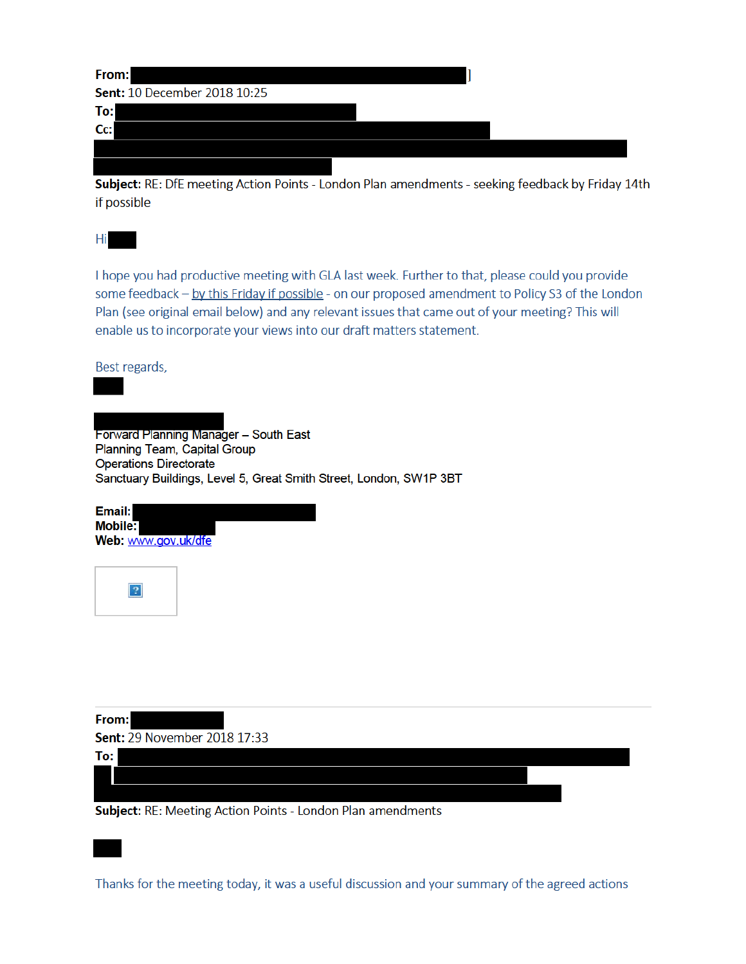| From:                               |  |
|-------------------------------------|--|
| <b>Sent: 10 December 2018 10:25</b> |  |
| To:                                 |  |
| $Cc$ :                              |  |
|                                     |  |
|                                     |  |

Subject: RE: DfE meeting Action Points - London Plan amendments - seeking feedback by Friday 14th if possible

Hi

I hope you had productive meeting with GLA last week. Further to that, please could you provide some feedback - by this Friday if possible - on our proposed amendment to Policy S3 of the London Plan (see original email below) and any relevant issues that came out of your meeting? This will enable us to incorporate your views into our draft matters statement.

Best regards,

Forward Planning Manager - South East Planning Team, Capital Group **Operations Directorate** Sanctuary Buildings, Level 5, Great Smith Street, London, SW1P 3BT

| Email:              |  |
|---------------------|--|
| Mobile:             |  |
| Web: www.gov.uk/dfe |  |



From: Sent: 29 November 2018 17:33

To:

Subject: RE: Meeting Action Points - London Plan amendments

Thanks for the meeting today, it was a useful discussion and your summary of the agreed actions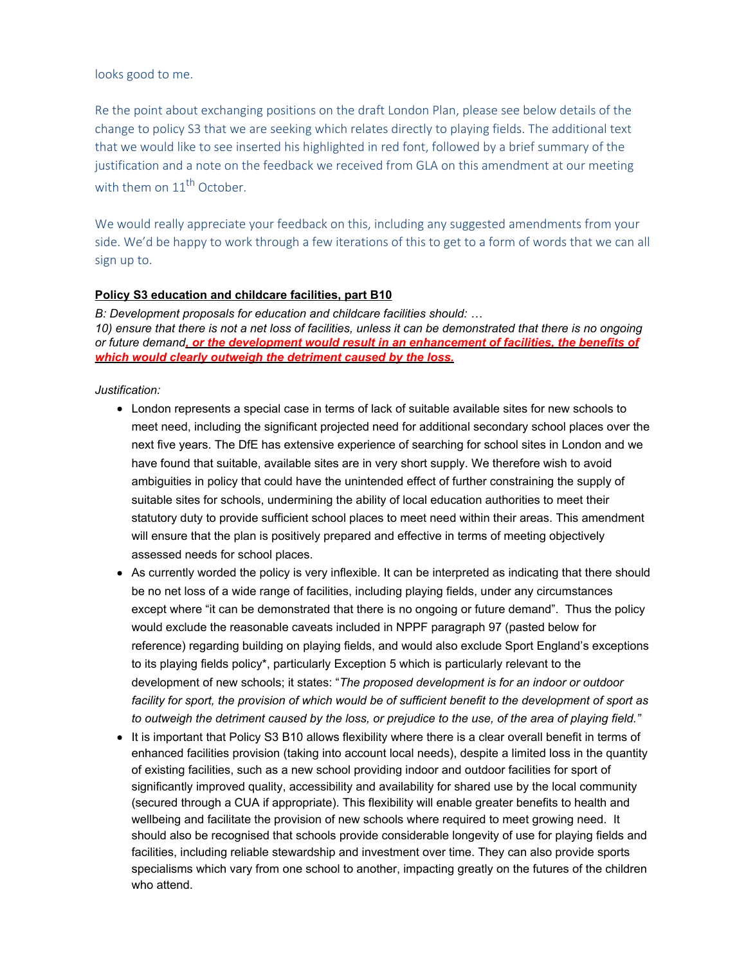## looks good to me.

Re the point about exchanging positions on the draft London Plan, please see below details of the change to policy S3 that we are seeking which relates directly to playing fields. The additional text that we would like to see inserted his highlighted in red font, followed by a brief summary of the justification and a note on the feedback we received from GLA on this amendment at our meeting with them on  $11<sup>th</sup>$  October.

We would really appreciate your feedback on this, including any suggested amendments from your side. We'd be happy to work through a few iterations of this to get to a form of words that we can all sign up to.

# **Policy S3 education and childcare facilities, part B10**

*B: Development proposals for education and childcare facilities should: … 10) ensure that there is not a net loss of facilities, unless it can be demonstrated that there is no ongoing or future demand, or the development would result in an enhancement of facilities, the benefits of which would clearly outweigh the detriment caused by the loss.*

# *Justification:*

- London represents a special case in terms of lack of suitable available sites for new schools to meet need, including the significant projected need for additional secondary school places over the next five years. The DfE has extensive experience of searching for school sites in London and we have found that suitable, available sites are in very short supply. We therefore wish to avoid ambiguities in policy that could have the unintended effect of further constraining the supply of suitable sites for schools, undermining the ability of local education authorities to meet their statutory duty to provide sufficient school places to meet need within their areas. This amendment will ensure that the plan is positively prepared and effective in terms of meeting objectively assessed needs for school places.
- As currently worded the policy is very inflexible. It can be interpreted as indicating that there should be no net loss of a wide range of facilities, including playing fields, under any circumstances except where "it can be demonstrated that there is no ongoing or future demand". Thus the policy would exclude the reasonable caveats included in NPPF paragraph 97 (pasted below for reference) regarding building on playing fields, and would also exclude Sport England's exceptions to its playing fields policy\*, particularly Exception 5 which is particularly relevant to the development of new schools; it states: "*The proposed development is for an indoor or outdoor facility for sport, the provision of which would be of sufficient benefit to the development of sport as to outweigh the detriment caused by the loss, or prejudice to the use, of the area of playing field."*
- It is important that Policy S3 B10 allows flexibility where there is a clear overall benefit in terms of enhanced facilities provision (taking into account local needs), despite a limited loss in the quantity of existing facilities, such as a new school providing indoor and outdoor facilities for sport of significantly improved quality, accessibility and availability for shared use by the local community (secured through a CUA if appropriate). This flexibility will enable greater benefits to health and wellbeing and facilitate the provision of new schools where required to meet growing need. It should also be recognised that schools provide considerable longevity of use for playing fields and facilities, including reliable stewardship and investment over time. They can also provide sports specialisms which vary from one school to another, impacting greatly on the futures of the children who attend.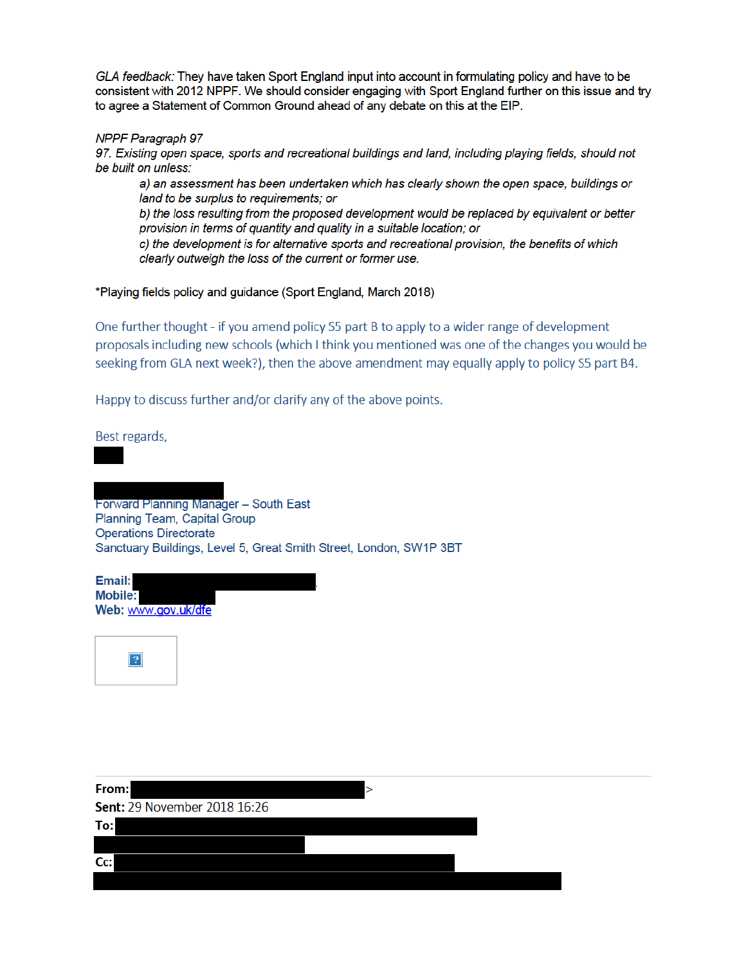GLA feedback: They have taken Sport England input into account in formulating policy and have to be consistent with 2012 NPPF. We should consider engaging with Sport England further on this issue and try to agree a Statement of Common Ground ahead of any debate on this at the EIP.

### **NPPF Paragraph 97**

97. Existing open space, sports and recreational buildings and land, including playing fields, should not be built on unless:

a) an assessment has been undertaken which has clearly shown the open space, buildings or land to be surplus to requirements; or

b) the loss resulting from the proposed development would be replaced by equivalent or better provision in terms of quantity and quality in a suitable location; or

c) the development is for alternative sports and recreational provision, the benefits of which clearly outweigh the loss of the current or former use.

### \*Playing fields policy and guidance (Sport England, March 2018)

One further thought - if you amend policy S5 part B to apply to a wider range of development proposals including new schools (which I think you mentioned was one of the changes you would be seeking from GLA next week?), then the above amendment may equally apply to policy S5 part B4.

Happy to discuss further and/or clarify any of the above points.

Best regards,

## Forward Planning Manager - South East Planning Team, Capital Group **Operations Directorate** Sanctuary Buildings, Level 5, Great Smith Street, London, SW1P 3BT

Email: Mobile: Web: www.gov.uk/dfe



| From:                               |  |
|-------------------------------------|--|
| <b>Sent: 29 November 2018 16:26</b> |  |
| To:                                 |  |
|                                     |  |
| $CC$ :                              |  |
|                                     |  |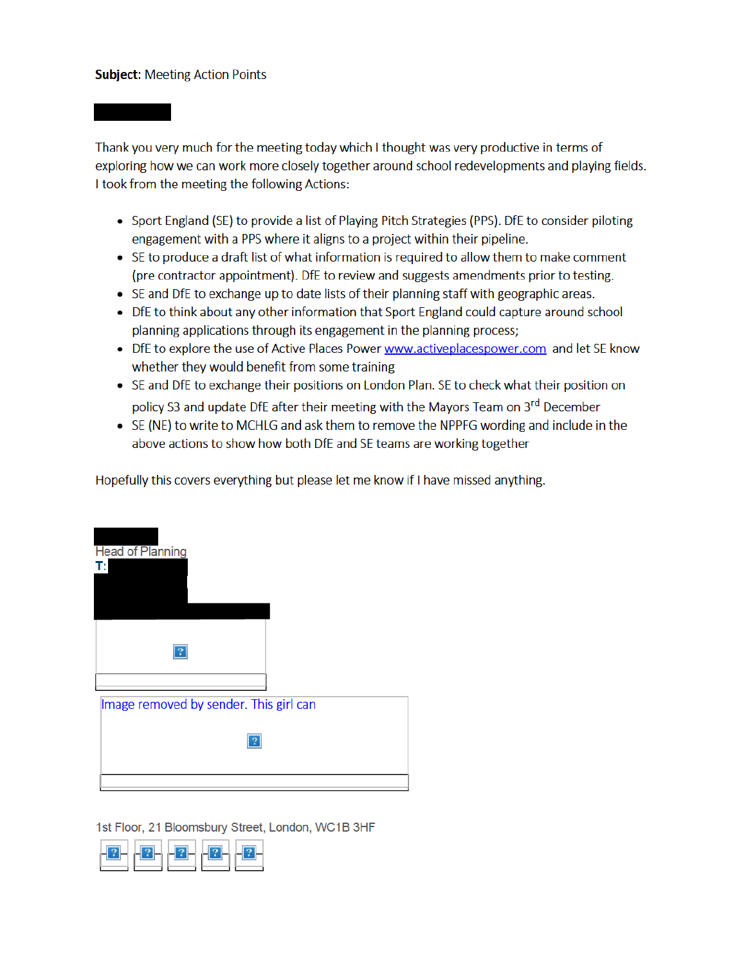# **Subject: Meeting Action Points**

Thank you very much for the meeting today which I thought was very productive in terms of exploring how we can work more closely together around school redevelopments and playing fields. I took from the meeting the following Actions:

- Sport England (SE) to provide a list of Playing Pitch Strategies (PPS). DfE to consider piloting engagement with a PPS where it aligns to a project within their pipeline.
- SE to produce a draft list of what information is required to allow them to make comment (pre contractor appointment). DfE to review and suggests amendments prior to testing.
- SE and DfE to exchange up to date lists of their planning staff with geographic areas.
- DfE to think about any other information that Sport England could capture around school planning applications through its engagement in the planning process;
- DfE to explore the use of Active Places Power www.activeplacespower.com and let SE know whether they would benefit from some training
- SE and DfE to exchange their positions on London Plan. SE to check what their position on policy S3 and update DfE after their meeting with the Mayors Team on 3<sup>rd</sup> December
- SE (NE) to write to MCHLG and ask them to remove the NPPFG wording and include in the above actions to show how both DfE and SE teams are working together

Hopefully this covers everything but please let me know if I have missed anything.



1st Floor, 21 Bloomsbury Street, London, WC1B 3HF